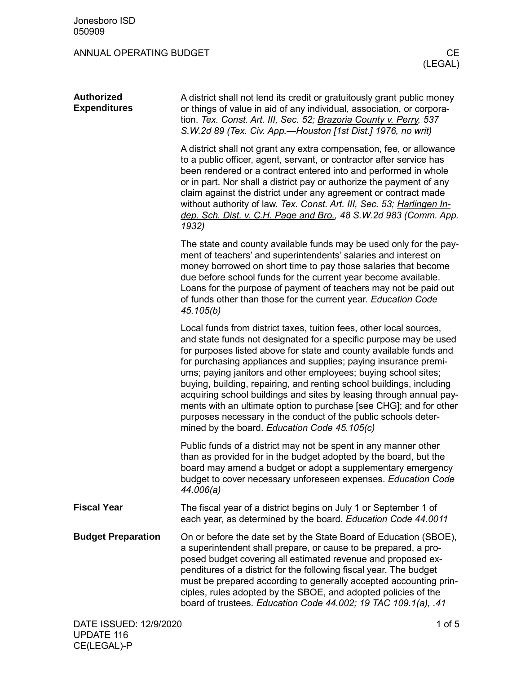| <b>Authorized</b><br><b>Expenditures</b> | A district shall not lend its credit or gratuitously grant public money<br>or things of value in aid of any individual, association, or corpora-<br>tion. Tex. Const. Art. III, Sec. 52; Brazoria County v. Perry, 537<br>S.W.2d 89 (Tex. Civ. App.-Houston [1st Dist.] 1976, no writ)                                                                                                                                                                                                                                                                                                                                                                                                     |
|------------------------------------------|--------------------------------------------------------------------------------------------------------------------------------------------------------------------------------------------------------------------------------------------------------------------------------------------------------------------------------------------------------------------------------------------------------------------------------------------------------------------------------------------------------------------------------------------------------------------------------------------------------------------------------------------------------------------------------------------|
|                                          | A district shall not grant any extra compensation, fee, or allowance<br>to a public officer, agent, servant, or contractor after service has<br>been rendered or a contract entered into and performed in whole<br>or in part. Nor shall a district pay or authorize the payment of any<br>claim against the district under any agreement or contract made<br>without authority of law. Tex. Const. Art. III, Sec. 53; Harlingen In-<br>dep. Sch. Dist. v. C.H. Page and Bro., 48 S.W.2d 983 (Comm. App.<br>1932)                                                                                                                                                                          |
|                                          | The state and county available funds may be used only for the pay-<br>ment of teachers' and superintendents' salaries and interest on<br>money borrowed on short time to pay those salaries that become<br>due before school funds for the current year become available.<br>Loans for the purpose of payment of teachers may not be paid out<br>of funds other than those for the current year. Education Code<br>45.105(b)                                                                                                                                                                                                                                                               |
|                                          | Local funds from district taxes, tuition fees, other local sources,<br>and state funds not designated for a specific purpose may be used<br>for purposes listed above for state and county available funds and<br>for purchasing appliances and supplies; paying insurance premi-<br>ums; paying janitors and other employees; buying school sites;<br>buying, building, repairing, and renting school buildings, including<br>acquiring school buildings and sites by leasing through annual pay-<br>ments with an ultimate option to purchase [see CHG]; and for other<br>purposes necessary in the conduct of the public schools deter-<br>mined by the board. Education Code 45.105(c) |
|                                          | Public funds of a district may not be spent in any manner other<br>than as provided for in the budget adopted by the board, but the<br>board may amend a budget or adopt a supplementary emergency<br>budget to cover necessary unforeseen expenses. Education Code<br>44.006(a)                                                                                                                                                                                                                                                                                                                                                                                                           |
| <b>Fiscal Year</b>                       | The fiscal year of a district begins on July 1 or September 1 of<br>each year, as determined by the board. Education Code 44.0011                                                                                                                                                                                                                                                                                                                                                                                                                                                                                                                                                          |
| <b>Budget Preparation</b>                | On or before the date set by the State Board of Education (SBOE),<br>a superintendent shall prepare, or cause to be prepared, a pro-<br>posed budget covering all estimated revenue and proposed ex-<br>penditures of a district for the following fiscal year. The budget<br>must be prepared according to generally accepted accounting prin-<br>ciples, rules adopted by the SBOE, and adopted policies of the<br>board of trustees. Education Code 44.002; 19 TAC 109.1(a), .41                                                                                                                                                                                                        |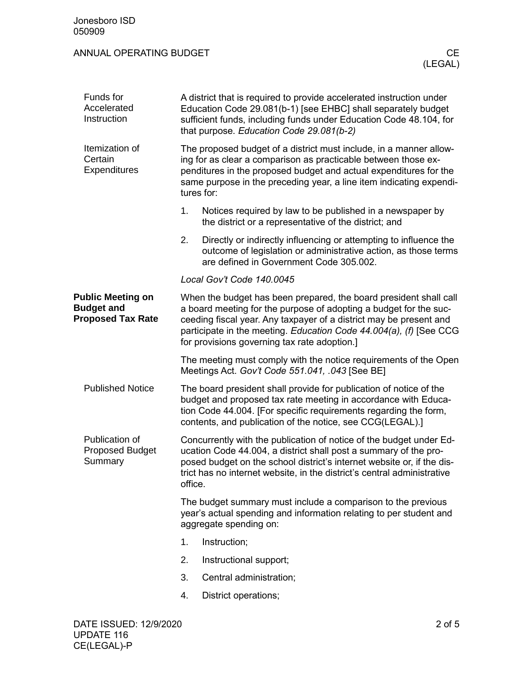| Funds for<br>Accelerated<br>Instruction                                   |    | A district that is required to provide accelerated instruction under<br>Education Code 29.081(b-1) [see EHBC] shall separately budget<br>sufficient funds, including funds under Education Code 48.104, for<br>that purpose. Education Code 29.081(b-2)                                                                            |  |  |  |  |
|---------------------------------------------------------------------------|----|------------------------------------------------------------------------------------------------------------------------------------------------------------------------------------------------------------------------------------------------------------------------------------------------------------------------------------|--|--|--|--|
| Itemization of<br>Certain<br>Expenditures                                 |    | The proposed budget of a district must include, in a manner allow-<br>ing for as clear a comparison as practicable between those ex-<br>penditures in the proposed budget and actual expenditures for the<br>same purpose in the preceding year, a line item indicating expendi-<br>tures for:                                     |  |  |  |  |
|                                                                           | 1. | Notices required by law to be published in a newspaper by<br>the district or a representative of the district; and                                                                                                                                                                                                                 |  |  |  |  |
|                                                                           | 2. | Directly or indirectly influencing or attempting to influence the<br>outcome of legislation or administrative action, as those terms<br>are defined in Government Code 305,002.                                                                                                                                                    |  |  |  |  |
|                                                                           |    | Local Gov't Code 140.0045                                                                                                                                                                                                                                                                                                          |  |  |  |  |
| <b>Public Meeting on</b><br><b>Budget and</b><br><b>Proposed Tax Rate</b> |    | When the budget has been prepared, the board president shall call<br>a board meeting for the purpose of adopting a budget for the suc-<br>ceeding fiscal year. Any taxpayer of a district may be present and<br>participate in the meeting. Education Code 44.004(a), (f) [See CCG<br>for provisions governing tax rate adoption.] |  |  |  |  |
|                                                                           |    | The meeting must comply with the notice requirements of the Open<br>Meetings Act. Gov't Code 551.041, .043 [See BE]                                                                                                                                                                                                                |  |  |  |  |
| <b>Published Notice</b>                                                   |    | The board president shall provide for publication of notice of the<br>budget and proposed tax rate meeting in accordance with Educa-<br>tion Code 44.004. [For specific requirements regarding the form,<br>contents, and publication of the notice, see CCG(LEGAL).]                                                              |  |  |  |  |
| Publication of<br><b>Proposed Budget</b><br>Summary                       |    | Concurrently with the publication of notice of the budget under Ed-<br>ucation Code 44.004, a district shall post a summary of the pro-<br>posed budget on the school district's internet website or, if the dis-<br>trict has no internet website, in the district's central administrative<br>office.                            |  |  |  |  |
|                                                                           |    | The budget summary must include a comparison to the previous<br>year's actual spending and information relating to per student and<br>aggregate spending on:                                                                                                                                                                       |  |  |  |  |
|                                                                           | 1. | Instruction;                                                                                                                                                                                                                                                                                                                       |  |  |  |  |
|                                                                           | 2. | Instructional support;                                                                                                                                                                                                                                                                                                             |  |  |  |  |
|                                                                           | 3. | Central administration;                                                                                                                                                                                                                                                                                                            |  |  |  |  |
|                                                                           | 4. | District operations;                                                                                                                                                                                                                                                                                                               |  |  |  |  |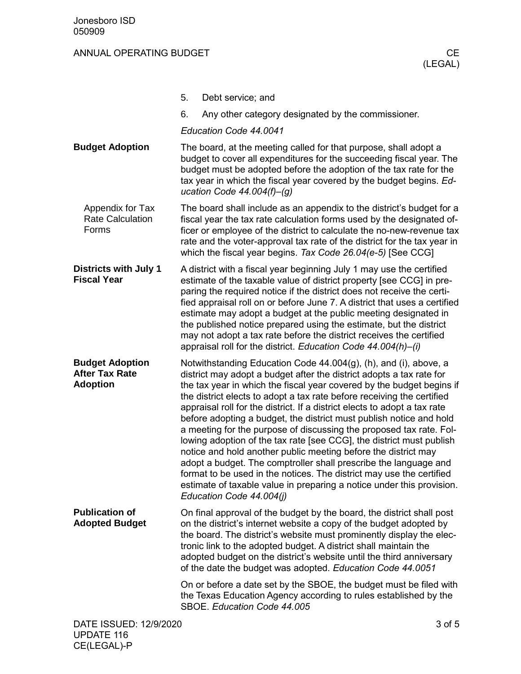CE(LEGAL)-P

|                                                                    | 5. | Debt service; and                                                                                                                                                                                                                                                                                                                                                                                                                                                                                                                                                                                                                                                                                                                                                                                                                                                                                                 |        |
|--------------------------------------------------------------------|----|-------------------------------------------------------------------------------------------------------------------------------------------------------------------------------------------------------------------------------------------------------------------------------------------------------------------------------------------------------------------------------------------------------------------------------------------------------------------------------------------------------------------------------------------------------------------------------------------------------------------------------------------------------------------------------------------------------------------------------------------------------------------------------------------------------------------------------------------------------------------------------------------------------------------|--------|
|                                                                    | 6. | Any other category designated by the commissioner.                                                                                                                                                                                                                                                                                                                                                                                                                                                                                                                                                                                                                                                                                                                                                                                                                                                                |        |
|                                                                    |    | Education Code 44.0041                                                                                                                                                                                                                                                                                                                                                                                                                                                                                                                                                                                                                                                                                                                                                                                                                                                                                            |        |
| <b>Budget Adoption</b>                                             |    | The board, at the meeting called for that purpose, shall adopt a<br>budget to cover all expenditures for the succeeding fiscal year. The<br>budget must be adopted before the adoption of the tax rate for the<br>tax year in which the fiscal year covered by the budget begins. Ed-<br>ucation Code $44.004(f)$ -(g)                                                                                                                                                                                                                                                                                                                                                                                                                                                                                                                                                                                            |        |
| Appendix for Tax<br><b>Rate Calculation</b><br>Forms               |    | The board shall include as an appendix to the district's budget for a<br>fiscal year the tax rate calculation forms used by the designated of-<br>ficer or employee of the district to calculate the no-new-revenue tax<br>rate and the voter-approval tax rate of the district for the tax year in<br>which the fiscal year begins. Tax Code 26.04(e-5) [See CCG]                                                                                                                                                                                                                                                                                                                                                                                                                                                                                                                                                |        |
| <b>Districts with July 1</b><br><b>Fiscal Year</b>                 |    | A district with a fiscal year beginning July 1 may use the certified<br>estimate of the taxable value of district property [see CCG] in pre-<br>paring the required notice if the district does not receive the certi-<br>fied appraisal roll on or before June 7. A district that uses a certified<br>estimate may adopt a budget at the public meeting designated in<br>the published notice prepared using the estimate, but the district<br>may not adopt a tax rate before the district receives the certified<br>appraisal roll for the district. Education Code 44.004(h)-(i)                                                                                                                                                                                                                                                                                                                              |        |
| <b>Budget Adoption</b><br><b>After Tax Rate</b><br><b>Adoption</b> |    | Notwithstanding Education Code 44.004(g), (h), and (i), above, a<br>district may adopt a budget after the district adopts a tax rate for<br>the tax year in which the fiscal year covered by the budget begins if<br>the district elects to adopt a tax rate before receiving the certified<br>appraisal roll for the district. If a district elects to adopt a tax rate<br>before adopting a budget, the district must publish notice and hold<br>a meeting for the purpose of discussing the proposed tax rate. Fol-<br>lowing adoption of the tax rate [see CCG], the district must publish<br>notice and hold another public meeting before the district may<br>adopt a budget. The comptroller shall prescribe the language and<br>format to be used in the notices. The district may use the certified<br>estimate of taxable value in preparing a notice under this provision.<br>Education Code 44.004(j) |        |
| <b>Publication of</b><br><b>Adopted Budget</b>                     |    | On final approval of the budget by the board, the district shall post<br>on the district's internet website a copy of the budget adopted by<br>the board. The district's website must prominently display the elec-<br>tronic link to the adopted budget. A district shall maintain the<br>adopted budget on the district's website until the third anniversary<br>of the date the budget was adopted. Education Code 44.0051                                                                                                                                                                                                                                                                                                                                                                                                                                                                                     |        |
|                                                                    |    | On or before a date set by the SBOE, the budget must be filed with<br>the Texas Education Agency according to rules established by the<br>SBOE. Education Code 44.005                                                                                                                                                                                                                                                                                                                                                                                                                                                                                                                                                                                                                                                                                                                                             |        |
| DATE ISSUED: 12/9/2020<br><b>UPDATE 116</b>                        |    |                                                                                                                                                                                                                                                                                                                                                                                                                                                                                                                                                                                                                                                                                                                                                                                                                                                                                                                   | 3 of 5 |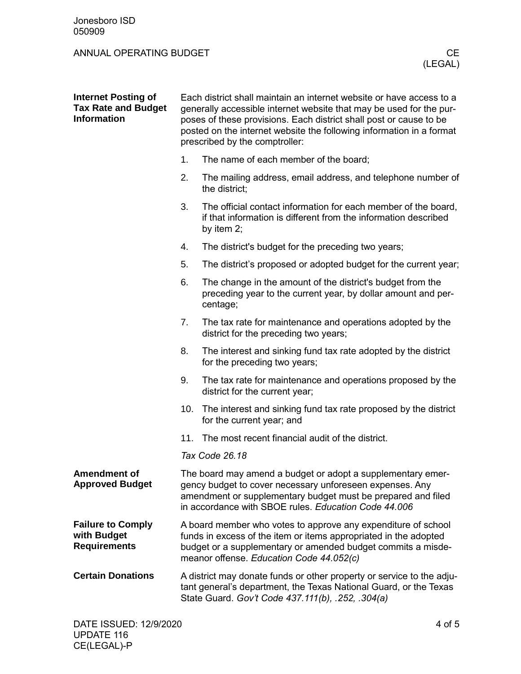| <b>Internet Posting of</b><br><b>Tax Rate and Budget</b><br><b>Information</b> | Each district shall maintain an internet website or have access to a<br>generally accessible internet website that may be used for the pur-<br>poses of these provisions. Each district shall post or cause to be<br>posted on the internet website the following information in a format<br>prescribed by the comptroller: |                                                                                                                                                                                                 |  |  |
|--------------------------------------------------------------------------------|-----------------------------------------------------------------------------------------------------------------------------------------------------------------------------------------------------------------------------------------------------------------------------------------------------------------------------|-------------------------------------------------------------------------------------------------------------------------------------------------------------------------------------------------|--|--|
|                                                                                | 1.                                                                                                                                                                                                                                                                                                                          | The name of each member of the board;                                                                                                                                                           |  |  |
|                                                                                | 2.                                                                                                                                                                                                                                                                                                                          | The mailing address, email address, and telephone number of<br>the district;                                                                                                                    |  |  |
|                                                                                | 3.                                                                                                                                                                                                                                                                                                                          | The official contact information for each member of the board,<br>if that information is different from the information described<br>by item 2;                                                 |  |  |
|                                                                                | 4.                                                                                                                                                                                                                                                                                                                          | The district's budget for the preceding two years;                                                                                                                                              |  |  |
|                                                                                | 5.                                                                                                                                                                                                                                                                                                                          | The district's proposed or adopted budget for the current year;                                                                                                                                 |  |  |
|                                                                                | 6.                                                                                                                                                                                                                                                                                                                          | The change in the amount of the district's budget from the<br>preceding year to the current year, by dollar amount and per-<br>centage;                                                         |  |  |
|                                                                                | 7.                                                                                                                                                                                                                                                                                                                          | The tax rate for maintenance and operations adopted by the<br>district for the preceding two years;                                                                                             |  |  |
|                                                                                | 8.                                                                                                                                                                                                                                                                                                                          | The interest and sinking fund tax rate adopted by the district<br>for the preceding two years;                                                                                                  |  |  |
|                                                                                | 9.                                                                                                                                                                                                                                                                                                                          | The tax rate for maintenance and operations proposed by the<br>district for the current year;                                                                                                   |  |  |
|                                                                                |                                                                                                                                                                                                                                                                                                                             | 10. The interest and sinking fund tax rate proposed by the district<br>for the current year; and                                                                                                |  |  |
|                                                                                | 11.                                                                                                                                                                                                                                                                                                                         | The most recent financial audit of the district.                                                                                                                                                |  |  |
|                                                                                | Tax Code 26.18                                                                                                                                                                                                                                                                                                              |                                                                                                                                                                                                 |  |  |
| <b>Amendment of</b><br><b>Approved Budget</b>                                  | The board may amend a budget or adopt a supplementary emer-<br>gency budget to cover necessary unforeseen expenses. Any<br>amendment or supplementary budget must be prepared and filed<br>in accordance with SBOE rules. Education Code 44.006                                                                             |                                                                                                                                                                                                 |  |  |
| <b>Failure to Comply</b><br>with Budget<br><b>Requirements</b>                 | A board member who votes to approve any expenditure of school<br>funds in excess of the item or items appropriated in the adopted<br>budget or a supplementary or amended budget commits a misde-<br>meanor offense. Education Code 44.052(c)                                                                               |                                                                                                                                                                                                 |  |  |
| <b>Certain Donations</b>                                                       |                                                                                                                                                                                                                                                                                                                             | A district may donate funds or other property or service to the adju-<br>tant general's department, the Texas National Guard, or the Texas<br>State Guard. Gov't Code 437.111(b), .252, .304(a) |  |  |